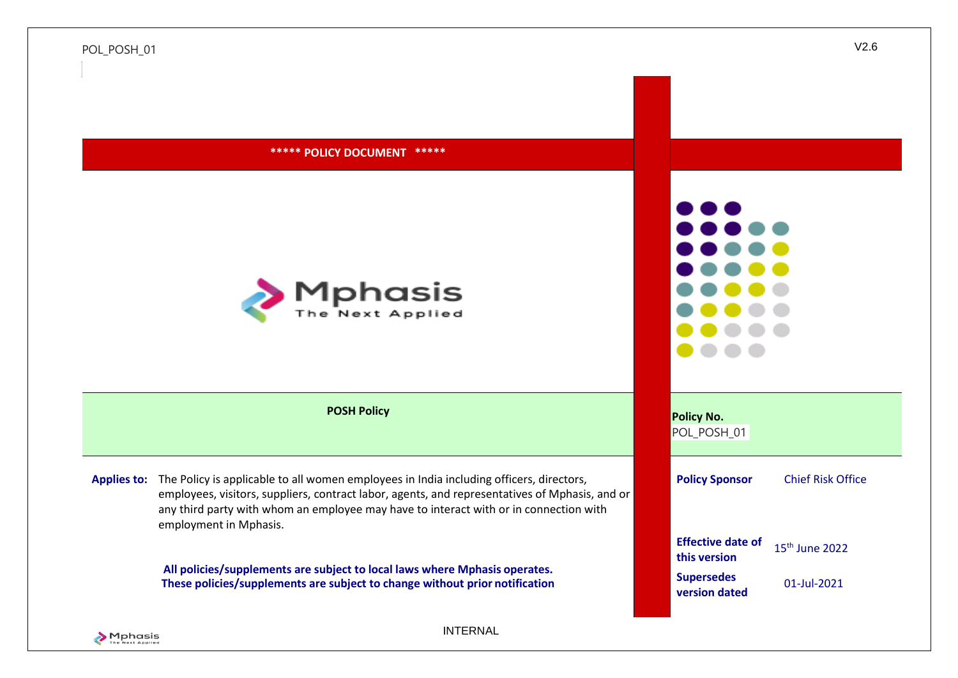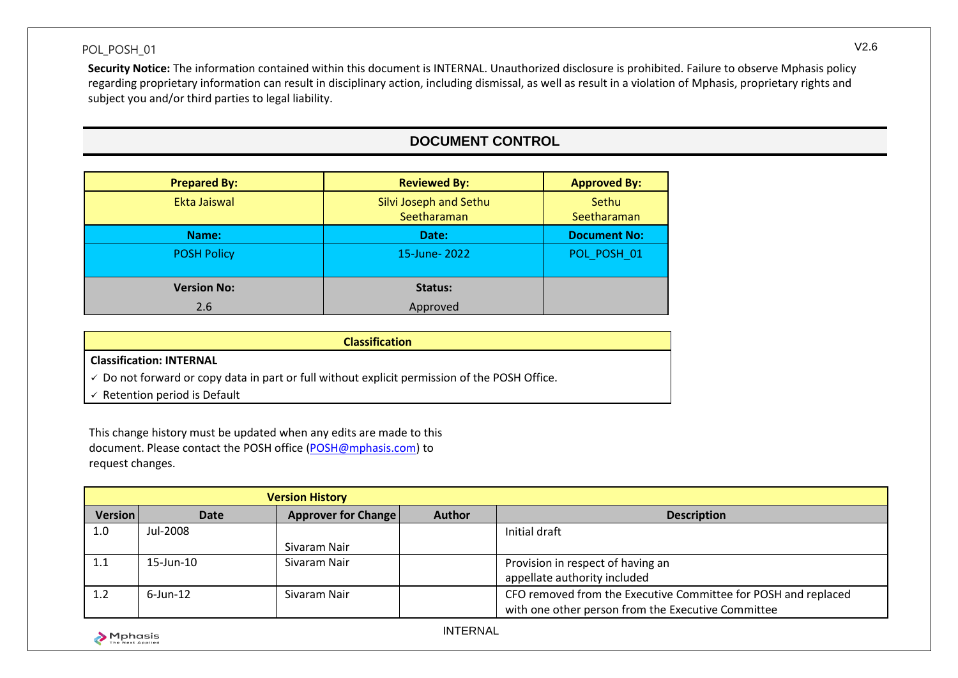**Security Notice:** The information contained within this document is INTERNAL. Unauthorized disclosure is prohibited. Failure to observe Mphasis policy regarding proprietary information can result in disciplinary action, including dismissal, as well as result in a violation of Mphasis, proprietary rights and subject you and/or third parties to legal liability.

# **DOCUMENT CONTROL**

| <b>Prepared By:</b> | <b>Reviewed By:</b>                   | <b>Approved By:</b>  |
|---------------------|---------------------------------------|----------------------|
| Ekta Jaiswal        | Silvi Joseph and Sethu<br>Seetharaman | Sethu<br>Seetharaman |
| Name:               | Date:                                 | <b>Document No:</b>  |
| <b>POSH Policy</b>  | 15-June-2022                          | POL POSH 01          |
| <b>Version No:</b>  | Status:                               |                      |
| 2.6                 | Approved                              |                      |

| <b>Classification</b>                                                                                    |
|----------------------------------------------------------------------------------------------------------|
| <b>Classification: INTERNAL</b>                                                                          |
| $\checkmark$ Do not forward or copy data in part or full without explicit permission of the POSH Office. |
| Retention period is Default                                                                              |

This change history must be updated when any edits are made to this document. Please contact the POSH office (POSH@mphasis.com) to request changes.

| <b>Version History</b> |                 |                            |               |                                                                |
|------------------------|-----------------|----------------------------|---------------|----------------------------------------------------------------|
| <b>Version</b>         | Date            | <b>Approver for Change</b> | <b>Author</b> | <b>Description</b>                                             |
| 1.0                    | Jul-2008        |                            |               | Initial draft                                                  |
|                        |                 | Sivaram Nair               |               |                                                                |
| 1.1                    | $15$ -Jun- $10$ | Sivaram Nair               |               | Provision in respect of having an                              |
|                        |                 |                            |               | appellate authority included                                   |
| 1.2                    | $6$ -Jun-12     | Sivaram Nair               |               | CFO removed from the Executive Committee for POSH and replaced |
|                        |                 |                            |               | with one other person from the Executive Committee             |
| . <b>.</b>             |                 |                            |               |                                                                |

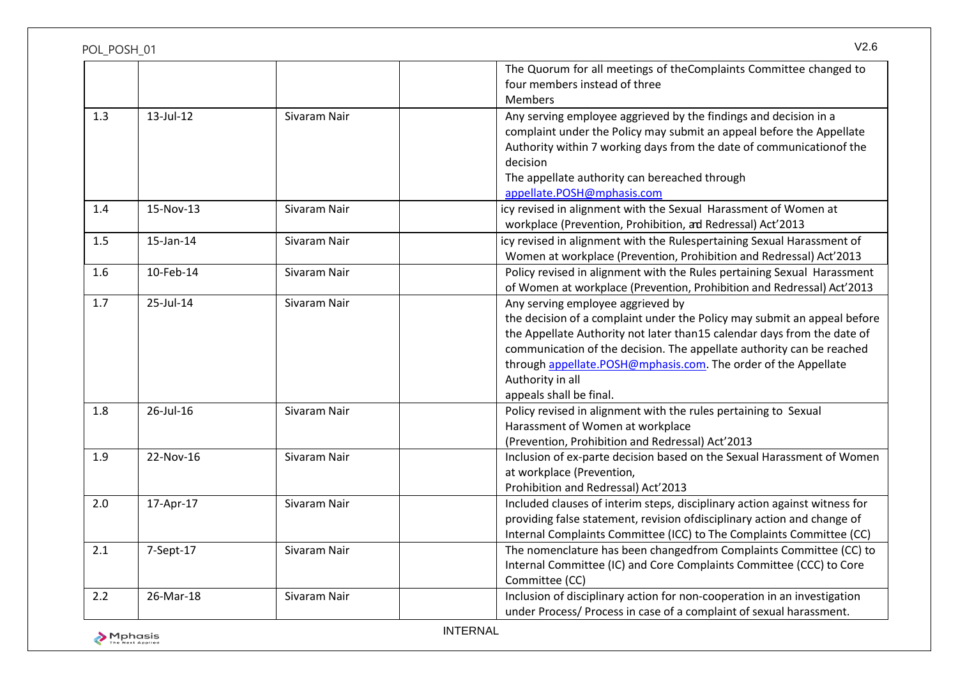| POL POSH 01 |           |              |                                                                                                                                                                                                                                                                                                                                                                                    |
|-------------|-----------|--------------|------------------------------------------------------------------------------------------------------------------------------------------------------------------------------------------------------------------------------------------------------------------------------------------------------------------------------------------------------------------------------------|
|             |           |              | The Quorum for all meetings of the Complaints Committee changed to<br>four members instead of three<br><b>Members</b>                                                                                                                                                                                                                                                              |
| 1.3         | 13-Jul-12 | Sivaram Nair | Any serving employee aggrieved by the findings and decision in a<br>complaint under the Policy may submit an appeal before the Appellate<br>Authority within 7 working days from the date of communicationof the<br>decision<br>The appellate authority can bereached through<br>appellate.POSH@mphasis.com                                                                        |
| 1.4         | 15-Nov-13 | Sivaram Nair | icy revised in alignment with the Sexual Harassment of Women at<br>workplace (Prevention, Prohibition, ad Redressal) Act'2013                                                                                                                                                                                                                                                      |
| 1.5         | 15-Jan-14 | Sivaram Nair | icy revised in alignment with the Rulespertaining Sexual Harassment of<br>Women at workplace (Prevention, Prohibition and Redressal) Act'2013                                                                                                                                                                                                                                      |
| 1.6         | 10-Feb-14 | Sivaram Nair | Policy revised in alignment with the Rules pertaining Sexual Harassment<br>of Women at workplace (Prevention, Prohibition and Redressal) Act'2013                                                                                                                                                                                                                                  |
| 1.7         | 25-Jul-14 | Sivaram Nair | Any serving employee aggrieved by<br>the decision of a complaint under the Policy may submit an appeal before<br>the Appellate Authority not later than15 calendar days from the date of<br>communication of the decision. The appellate authority can be reached<br>through appellate.POSH@mphasis.com. The order of the Appellate<br>Authority in all<br>appeals shall be final. |
| 1.8         | 26-Jul-16 | Sivaram Nair | Policy revised in alignment with the rules pertaining to Sexual<br>Harassment of Women at workplace<br>(Prevention, Prohibition and Redressal) Act'2013                                                                                                                                                                                                                            |
| 1.9         | 22-Nov-16 | Sivaram Nair | Inclusion of ex-parte decision based on the Sexual Harassment of Women<br>at workplace (Prevention,<br>Prohibition and Redressal) Act'2013                                                                                                                                                                                                                                         |
| 2.0         | 17-Apr-17 | Sivaram Nair | Included clauses of interim steps, disciplinary action against witness for<br>providing false statement, revision ofdisciplinary action and change of<br>Internal Complaints Committee (ICC) to The Complaints Committee (CC)                                                                                                                                                      |
| 2.1         | 7-Sept-17 | Sivaram Nair | The nomenclature has been changedfrom Complaints Committee (CC) to<br>Internal Committee (IC) and Core Complaints Committee (CCC) to Core<br>Committee (CC)                                                                                                                                                                                                                        |
| 2.2         | 26-Mar-18 | Sivaram Nair | Inclusion of disciplinary action for non-cooperation in an investigation<br>under Process/ Process in case of a complaint of sexual harassment.                                                                                                                                                                                                                                    |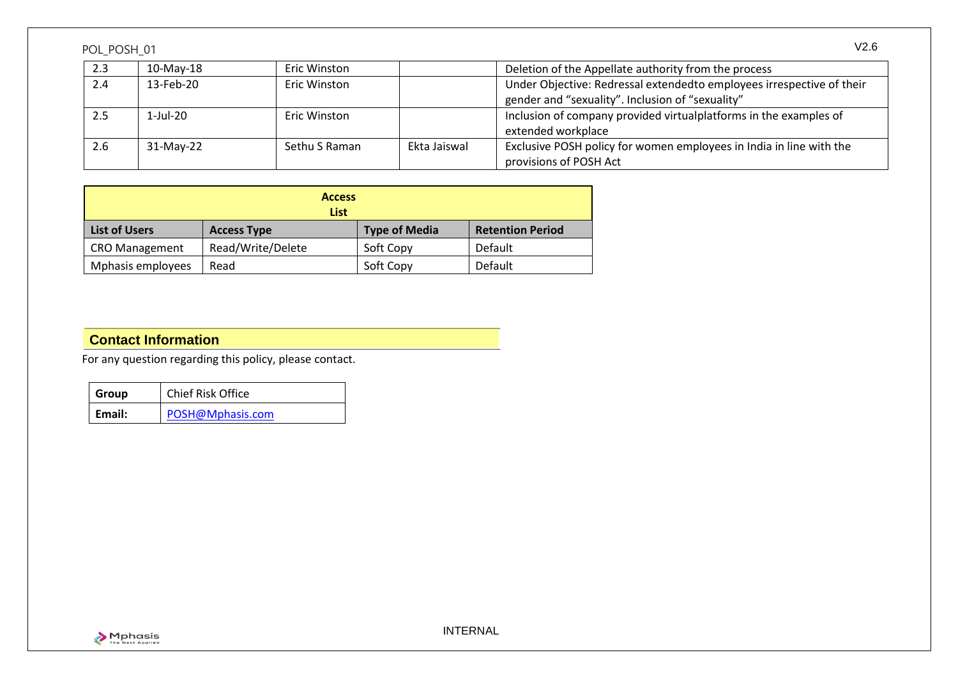| 2.3 | $10-Mav-18$ | <b>Eric Winston</b> |              | Deletion of the Appellate authority from the process                  |
|-----|-------------|---------------------|--------------|-----------------------------------------------------------------------|
| 2.4 | 13-Feb-20   | <b>Eric Winston</b> |              | Under Objective: Redressal extendedto employees irrespective of their |
|     |             |                     |              | gender and "sexuality". Inclusion of "sexuality"                      |
| 2.5 | $1$ -Jul-20 | Eric Winston        |              | Inclusion of company provided virtual platforms in the examples of    |
|     |             |                     |              | extended workplace                                                    |
| 2.6 | 31-May-22   | Sethu S Raman       | Ekta Jaiswal | Exclusive POSH policy for women employees in India in line with the   |
|     |             |                     |              | provisions of POSH Act                                                |

| <b>Access</b><br><b>List</b> |                    |                      |                         |
|------------------------------|--------------------|----------------------|-------------------------|
| <b>List of Users</b>         | <b>Access Type</b> | <b>Type of Media</b> | <b>Retention Period</b> |
| <b>CRO Management</b>        | Read/Write/Delete  | Soft Copy            | Default                 |
| Mphasis employees            | Read               | Soft Copy            | Default                 |

# **Contact Information**

For any question regarding this policy, please contact.

| Group  | Chief Risk Office |
|--------|-------------------|
| Email: | POSH@Mphasis.com  |

INTERNAL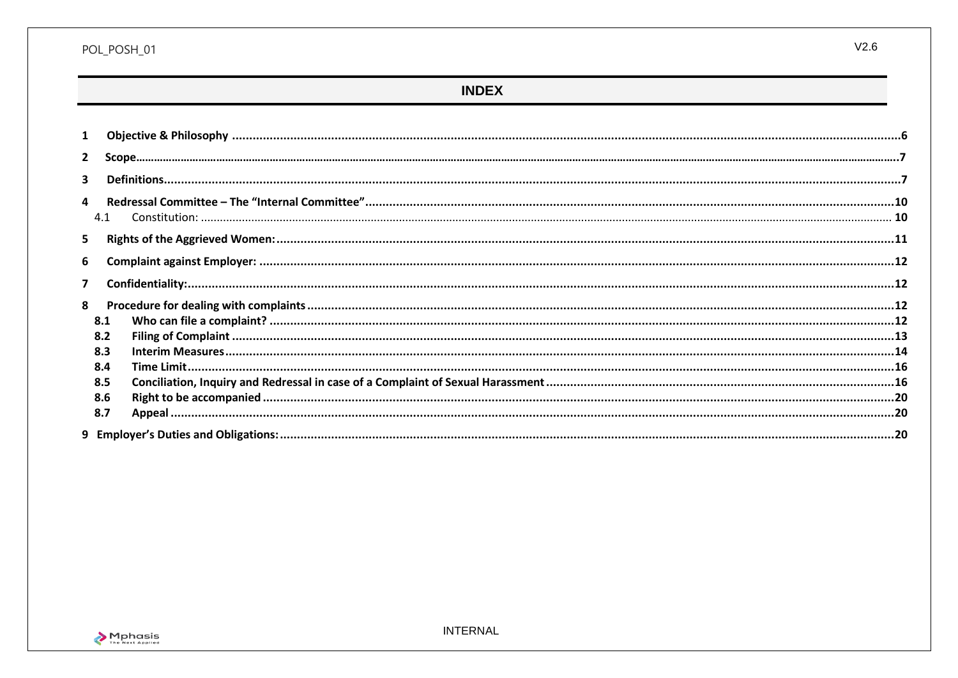## POL\_POSH\_01

# **INDEX**

| 1                       |                                        |  |
|-------------------------|----------------------------------------|--|
| $\overline{2}$          |                                        |  |
| 3                       |                                        |  |
| 4<br>4.1                |                                        |  |
| 5.                      |                                        |  |
| 6                       |                                        |  |
| $\overline{\mathbf{z}}$ |                                        |  |
| 8<br>8.1                | 8.2<br>8.3<br>8.4<br>8.5<br>8.6<br>8.7 |  |
|                         |                                        |  |

 $V2.6$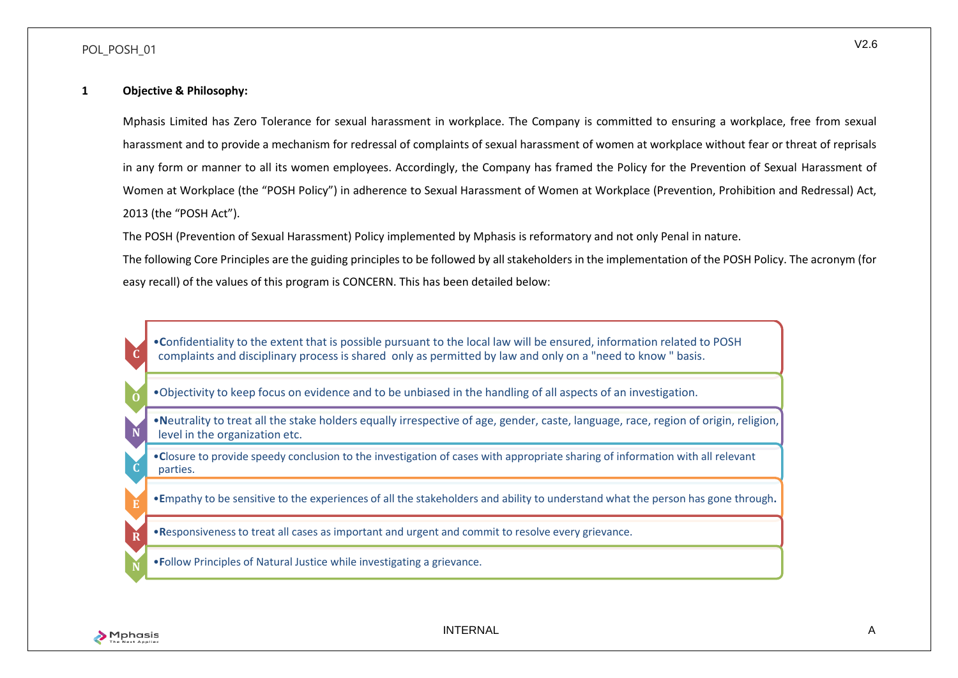#### **1 Objective & Philosophy:**

Mphasis Limited has Zero Tolerance for sexual harassment in workplace. The Company is committed to ensuring a workplace, free from sexual harassment and to provide a mechanism for redressal of complaints of sexual harassment of women at workplace without fear or threat of reprisals in any form or manner to all its women employees. Accordingly, the Company has framed the Policy for the Prevention of Sexual Harassment of Women at Workplace (the "POSH Policy") in adherence to Sexual Harassment of Women at Workplace (Prevention, Prohibition and Redressal) Act, 2013 (the "POSH Act").

The POSH (Prevention of Sexual Harassment) Policy implemented by Mphasis is reformatory and not only Penal in nature.

The following Core Principles are the guiding principles to be followed by all stakeholders in the implementation of the POSH Policy. The acronym (for easy recall) of the values of this program is CONCERN. This has been detailed below:

•**C**onfidentiality to the extent that is possible pursuant to the local law will be ensured, information related to POSH complaints and disciplinary process is shared only as permitted by law and only on a "need to know " basis.

•Objectivity to keep focus on evidence and to be unbiased in the handling of all aspects of an investigation.

•**N**eutrality to treat all the stake holders equally irrespective of age, gender, caste, language, race, region of origin, religion, level in the organization etc.

•**C**losure to provide speedy conclusion to the investigation of cases with appropriate sharing of information with all relevant parties.

•**E**mpathy to be sensitive to the experiences of all the stakeholders and ability to understand what the person has gone through**.**

•**R**esponsiveness to treat all cases as important and urgent and commit to resolve every grievance.

•**F**ollow Principles of Natural Justice while investigating a grievance.



**C**

**O**

**N**

**C**

**R**

**N**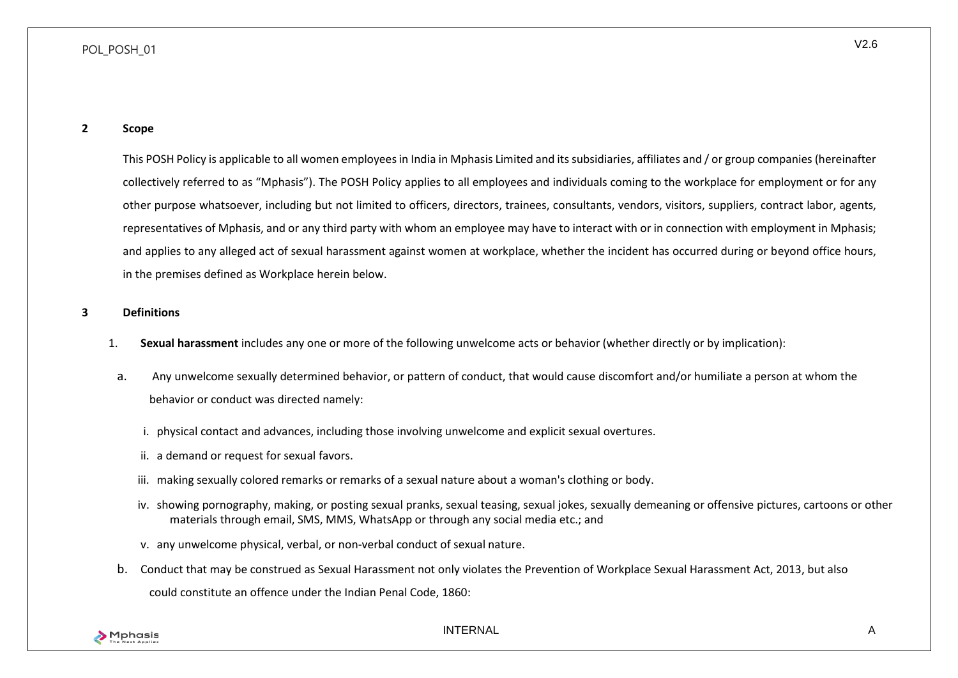<span id="page-6-0"></span>This POSH Policy is applicable to all women employees in India in Mphasis Limited and its subsidiaries, affiliates and / or group companies (hereinafter collectively referred to as "Mphasis"). The POSH Policy applies to all employees and individuals coming to the workplace for employment or for any other purpose whatsoever, including but not limited to officers, directors, trainees, consultants, vendors, visitors, suppliers, contract labor, agents, representatives of Mphasis, and or any third party with whom an employee may have to interact with or in connection with employment in Mphasis; and applies to any alleged act of sexual harassment against women at workplace, whether the incident has occurred during or beyond office hours, in the premises defined as Workplace herein below.

#### <span id="page-6-1"></span>**3 Definitions**

- 1. **Sexual harassment** includes any one or more of the following unwelcome acts or behavior (whether directly or by implication):
- a. Any unwelcome sexually determined behavior, or pattern of conduct, that would cause discomfort and/or humiliate a person at whom the behavior or conduct was directed namely:
	- i. physical contact and advances, including those involving unwelcome and explicit sexual overtures.
	- ii. a demand or request for sexual favors.
	- iii. making sexually colored remarks or remarks of a sexual nature about a woman's clothing or body.
	- iv. showing pornography, making, or posting sexual pranks, sexual teasing, sexual jokes, sexually demeaning or offensive pictures, cartoons or other materials through email, SMS, MMS, WhatsApp or through any social media etc.; and
	- v. any unwelcome physical, verbal, or non-verbal conduct of sexual nature.
- b. Conduct that may be construed as Sexual Harassment not only violates the Prevention of Workplace Sexual Harassment Act, 2013, but also could constitute an offence under the Indian Penal Code, 1860:



INTERNAL A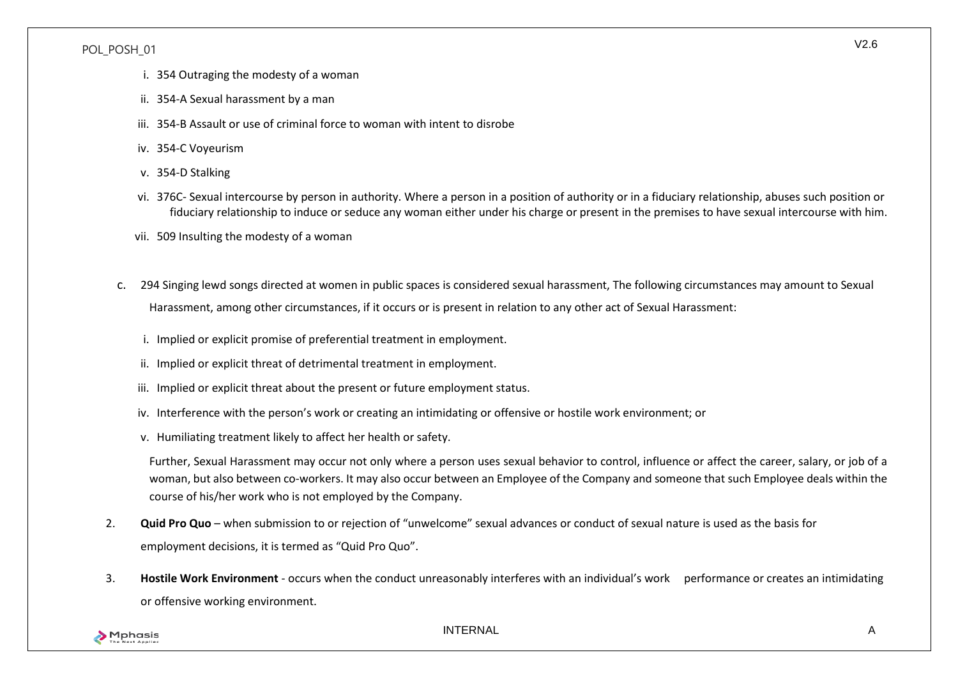- i. 354 Outraging the modesty of a woman
- ii. 354-A Sexual harassment by a man
- iii. 354-B Assault or use of criminal force to woman with intent to disrobe
- iv. 354-C Voyeurism
- v. 354-D Stalking
- vi. 376C- Sexual intercourse by person in authority. Where a person in a position of authority or in a fiduciary relationship, abuses such position or fiduciary relationship to induce or seduce any woman either under his charge or present in the premises to have sexual intercourse with him.
- vii. 509 Insulting the modesty of a woman
- c. 294 Singing lewd songs directed at women in public spaces is considered sexual harassment, The following circumstances may amount to Sexual Harassment, among other circumstances, if it occurs or is present in relation to any other act of Sexual Harassment:
	- i. Implied or explicit promise of preferential treatment in employment.
	- ii. Implied or explicit threat of detrimental treatment in employment.
	- iii. Implied or explicit threat about the present or future employment status.
	- iv. Interference with the person's work or creating an intimidating or offensive or hostile work environment; or
	- v. Humiliating treatment likely to affect her health or safety.

Further, Sexual Harassment may occur not only where a person uses sexual behavior to control, influence or affect the career, salary, or job of a woman, but also between co-workers. It may also occur between an Employee of the Company and someone that such Employee deals within the course of his/her work who is not employed by the Company.

- 2. **Quid Pro Quo**  when submission to or rejection of "unwelcome" sexual advances or conduct of sexual nature is used as the basis for employment decisions, it is termed as "Quid Pro Quo".
- 3. **Hostile Work Environment**  occurs when the conduct unreasonably interferes with an individual's work performance or creates an intimidating or offensive working environment.

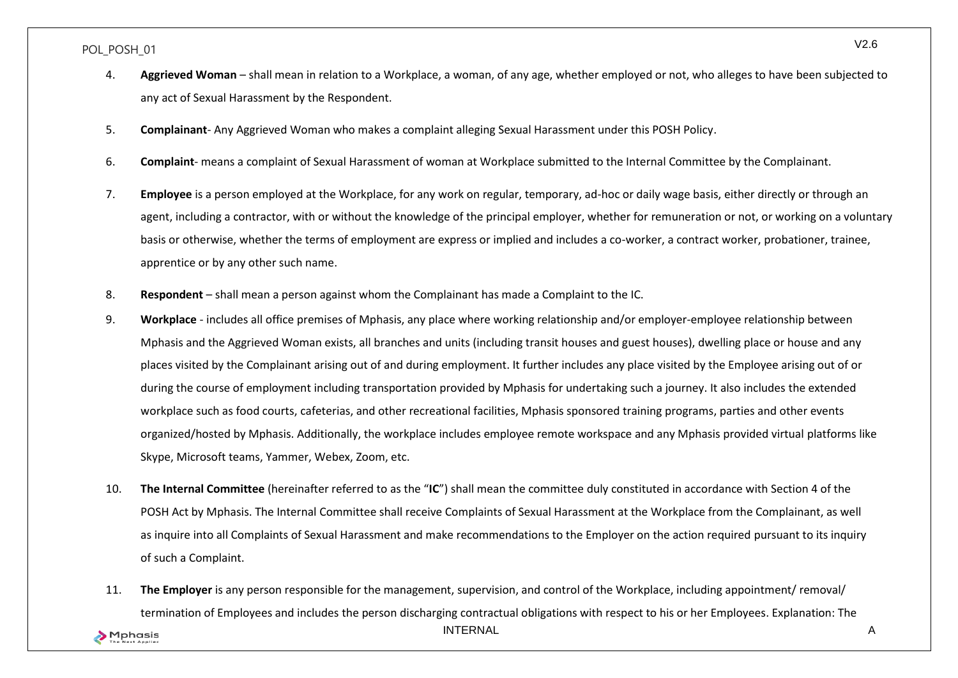- 4. **Aggrieved Woman**  shall mean in relation to a Workplace, a woman, of any age, whether employed or not, who alleges to have been subjected to any act of Sexual Harassment by the Respondent.
- 5. **Complainant** Any Aggrieved Woman who makes a complaint alleging Sexual Harassment under this POSH Policy.
- 6. **Complaint** means a complaint of Sexual Harassment of woman at Workplace submitted to the Internal Committee by the Complainant.
- 7. **Employee** is a person employed at the Workplace, for any work on regular, temporary, ad-hoc or daily wage basis, either directly or through an agent, including a contractor, with or without the knowledge of the principal employer, whether for remuneration or not, or working on a voluntary basis or otherwise, whether the terms of employment are express or implied and includes a co-worker, a contract worker, probationer, trainee, apprentice or by any other such name.
- 8. **Respondent**  shall mean a person against whom the Complainant has made a Complaint to the IC.
- 9. **Workplace**  includes all office premises of Mphasis, any place where working relationship and/or employer-employee relationship between Mphasis and the Aggrieved Woman exists, all branches and units (including transit houses and guest houses), dwelling place or house and any places visited by the Complainant arising out of and during employment. It further includes any place visited by the Employee arising out of or during the course of employment including transportation provided by Mphasis for undertaking such a journey. It also includes the extended workplace such as food courts, cafeterias, and other recreational facilities, Mphasis sponsored training programs, parties and other events organized/hosted by Mphasis. Additionally, the workplace includes employee remote workspace and any Mphasis provided virtual platforms like Skype, Microsoft teams, Yammer, Webex, Zoom, etc.
- 10. **The Internal Committee** (hereinafter referred to as the "**IC**") shall mean the committee duly constituted in accordance with Section 4 of the POSH Act by Mphasis. The Internal Committee shall receive Complaints of Sexual Harassment at the Workplace from the Complainant, as well as inquire into all Complaints of Sexual Harassment and make recommendations to the Employer on the action required pursuant to its inquiry of such a Complaint.
- 11. **The Employer** is any person responsible for the management, supervision, and control of the Workplace, including appointment/ removal/ termination of Employees and includes the person discharging contractual obligations with respect to his or her Employees. Explanation: The

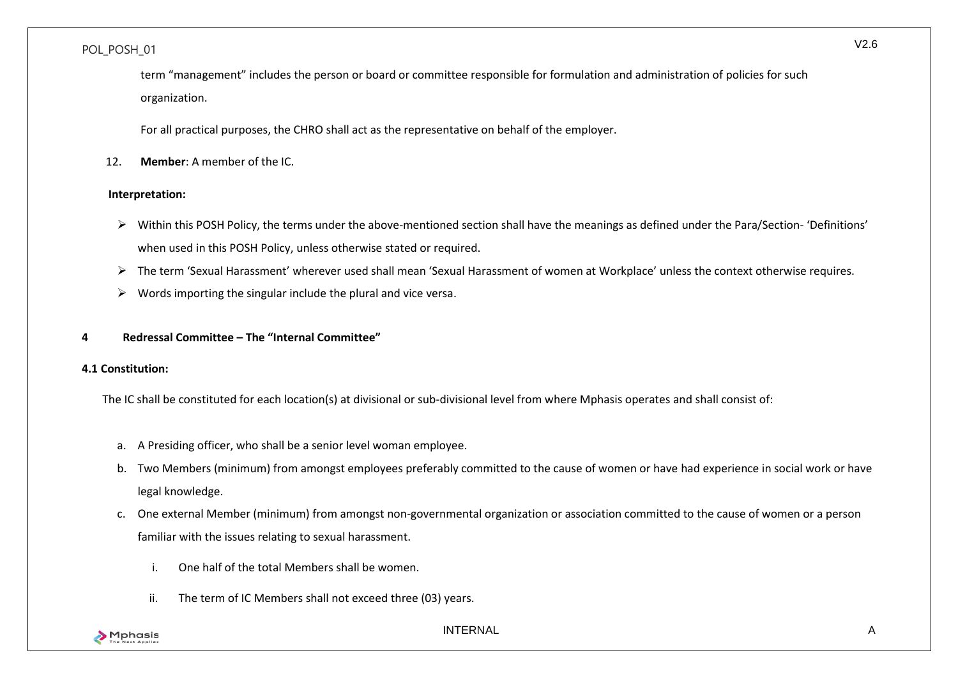term "management" includes the person or board or committee responsible for formulation and administration of policies for such organization.

For all practical purposes, the CHRO shall act as the representative on behalf of the employer.

12. **Member**: A member of the IC.

## **Interpretation:**

- ➢ Within this POSH Policy, the terms under the above-mentioned section shall have the meanings as defined under the Para/Section- 'Definitions' when used in this POSH Policy, unless otherwise stated or required.
- ➢ The term 'Sexual Harassment' wherever used shall mean 'Sexual Harassment of women at Workplace' unless the context otherwise requires.
- $\triangleright$  Words importing the singular include the plural and vice versa.

## <span id="page-9-0"></span>**4 Redressal Committee – The "Internal Committee"**

### <span id="page-9-1"></span>**4.1 Constitution:**

The IC shall be constituted for each location(s) at divisional or sub-divisional level from where Mphasis operates and shall consist of:

- a. A Presiding officer, who shall be a senior level woman employee.
- b. Two Members (minimum) from amongst employees preferably committed to the cause of women or have had experience in social work or have legal knowledge.
- c. One external Member (minimum) from amongst non-governmental organization or association committed to the cause of women or a person familiar with the issues relating to sexual harassment.
	- i. One half of the total Members shall be women.
	- ii. The term of IC Members shall not exceed three (03) years.

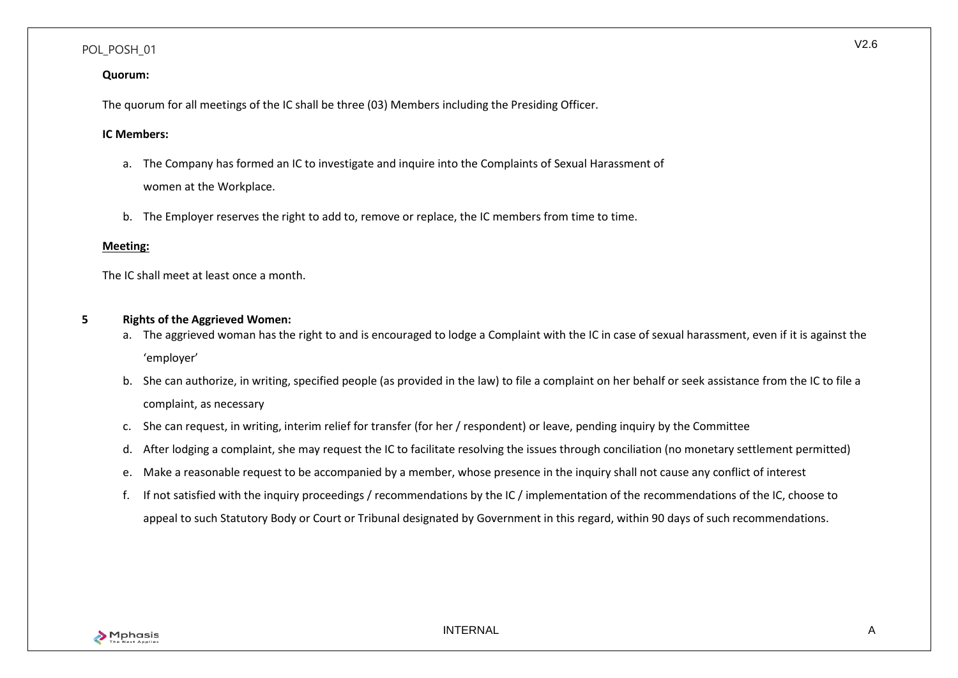#### **Quorum:**

The quorum for all meetings of the IC shall be three (03) Members including the Presiding Officer.

#### **IC Members:**

- a. The Company has formed an IC to investigate and inquire into the Complaints of Sexual Harassment of women at the Workplace.
- b. The Employer reserves the right to add to, remove or replace, the IC members from time to time.

#### **Meeting:**

The IC shall meet at least once a month.

#### <span id="page-10-0"></span>**5 Rights of the Aggrieved Women:**

- a. The aggrieved woman has the right to and is encouraged to lodge a Complaint with the IC in case of sexual harassment, even if it is against the 'employer'
- b. She can authorize, in writing, specified people (as provided in the law) to file a complaint on her behalf or seek assistance from the IC to file a complaint, as necessary
- c. She can request, in writing, interim relief for transfer (for her / respondent) or leave, pending inquiry by the Committee
- d. After lodging a complaint, she may request the IC to facilitate resolving the issues through conciliation (no monetary settlement permitted)
- e. Make a reasonable request to be accompanied by a member, whose presence in the inquiry shall not cause any conflict of interest
- f. If not satisfied with the inquiry proceedings / recommendations by the IC / implementation of the recommendations of the IC, choose to appeal to such Statutory Body or Court or Tribunal designated by Government in this regard, within 90 days of such recommendations.

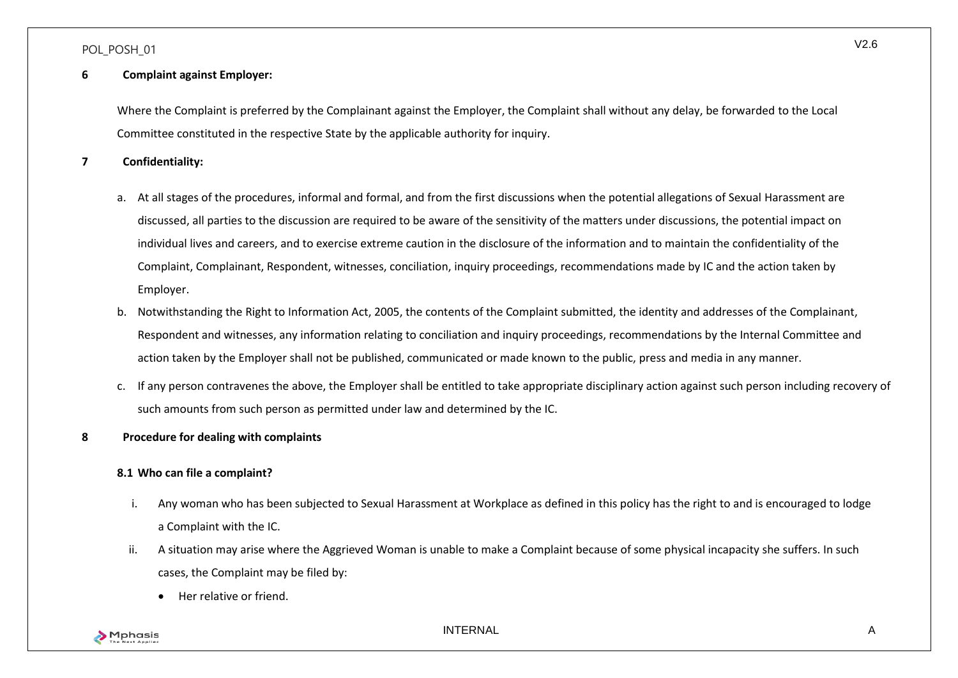### <span id="page-11-0"></span>**6 Complaint against Employer:**

Where the Complaint is preferred by the Complainant against the Employer, the Complaint shall without any delay, be forwarded to the Local Committee constituted in the respective State by the applicable authority for inquiry.

<span id="page-11-1"></span>**7 Confidentiality:**

- a. At all stages of the procedures, informal and formal, and from the first discussions when the potential allegations of Sexual Harassment are discussed, all parties to the discussion are required to be aware of the sensitivity of the matters under discussions, the potential impact on individual lives and careers, and to exercise extreme caution in the disclosure of the information and to maintain the confidentiality of the Complaint, Complainant, Respondent, witnesses, conciliation, inquiry proceedings, recommendations made by IC and the action taken by Employer.
- b. Notwithstanding the Right to Information Act, 2005, the contents of the Complaint submitted, the identity and addresses of the Complainant, Respondent and witnesses, any information relating to conciliation and inquiry proceedings, recommendations by the Internal Committee and action taken by the Employer shall not be published, communicated or made known to the public, press and media in any manner.
- c. If any person contravenes the above, the Employer shall be entitled to take appropriate disciplinary action against such person including recovery of such amounts from such person as permitted under law and determined by the IC.
- <span id="page-11-3"></span><span id="page-11-2"></span>**8 Procedure for dealing with complaints**

### **8.1 Who can file a complaint?**

- i. Any woman who has been subjected to Sexual Harassment at Workplace as defined in this policy has the right to and is encouraged to lodge a Complaint with the IC.
- ii. A situation may arise where the Aggrieved Woman is unable to make a Complaint because of some physical incapacity she suffers. In such cases, the Complaint may be filed by:
	- Her relative or friend.

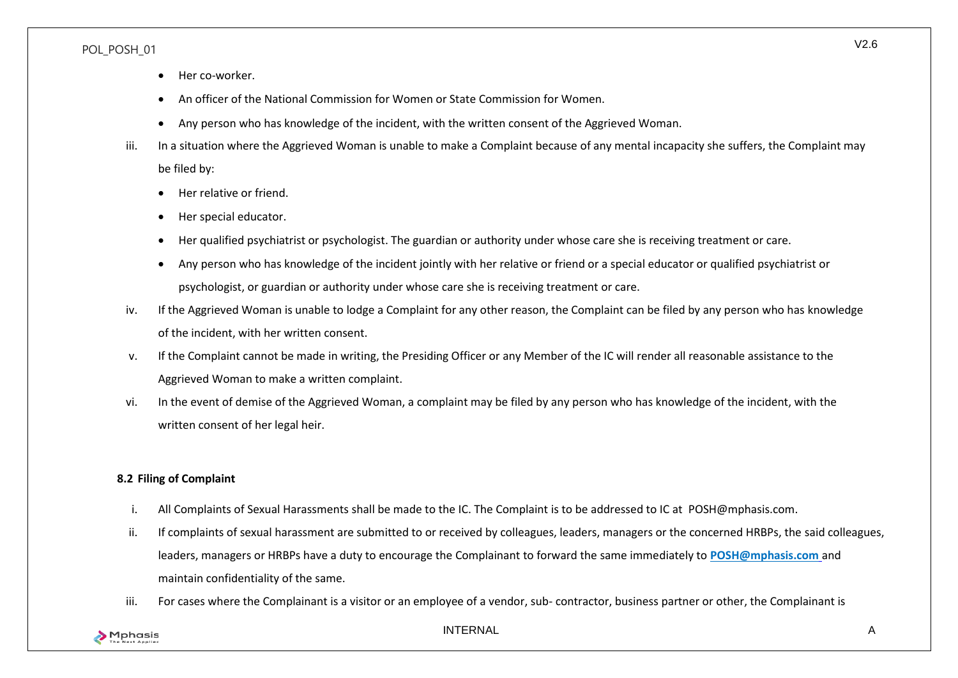- Her co-worker.
- An officer of the National Commission for Women or State Commission for Women.
- Any person who has knowledge of the incident, with the written consent of the Aggrieved Woman.
- iii. In a situation where the Aggrieved Woman is unable to make a Complaint because of any mental incapacity she suffers, the Complaint may be filed by:
	- Her relative or friend.
	- Her special educator.
	- Her qualified psychiatrist or psychologist. The guardian or authority under whose care she is receiving treatment or care.
	- Any person who has knowledge of the incident jointly with her relative or friend or a special educator or qualified psychiatrist or psychologist, or guardian or authority under whose care she is receiving treatment or care.
- iv. If the Aggrieved Woman is unable to lodge a Complaint for any other reason, the Complaint can be filed by any person who has knowledge of the incident, with her written consent.
- v. If the Complaint cannot be made in writing, the Presiding Officer or any Member of the IC will render all reasonable assistance to the Aggrieved Woman to make a written complaint.
- vi. In the event of demise of the Aggrieved Woman, a complaint may be filed by any person who has knowledge of the incident, with the written consent of her legal heir.

## <span id="page-12-0"></span>**8.2 Filing of Complaint**

- i. All Complaints of Sexual Harassments shall be made to the IC. The Complaint is to be addressed to IC at [POSH@mphasis.com.](mailto:posh@mphasis.com)
- ii. If complaints of sexual harassment are submitted to or received by colleagues, leaders, managers or the concerned HRBPs, the said colleagues, leaders, managers or HRBPs have a duty to encourage the Complainant to forward the same immediately to **[POSH@mphasis.com](mailto:posh@mphasis.com%20and%20maintain%20confidentiality%20of%20the%20same.)** and [maintain confidentiality of the same.](mailto:posh@mphasis.com%20and%20maintain%20confidentiality%20of%20the%20same.)
- iii. For cases where the Complainant is a visitor or an employee of a vendor, sub- contractor, business partner or other, the Complainant is

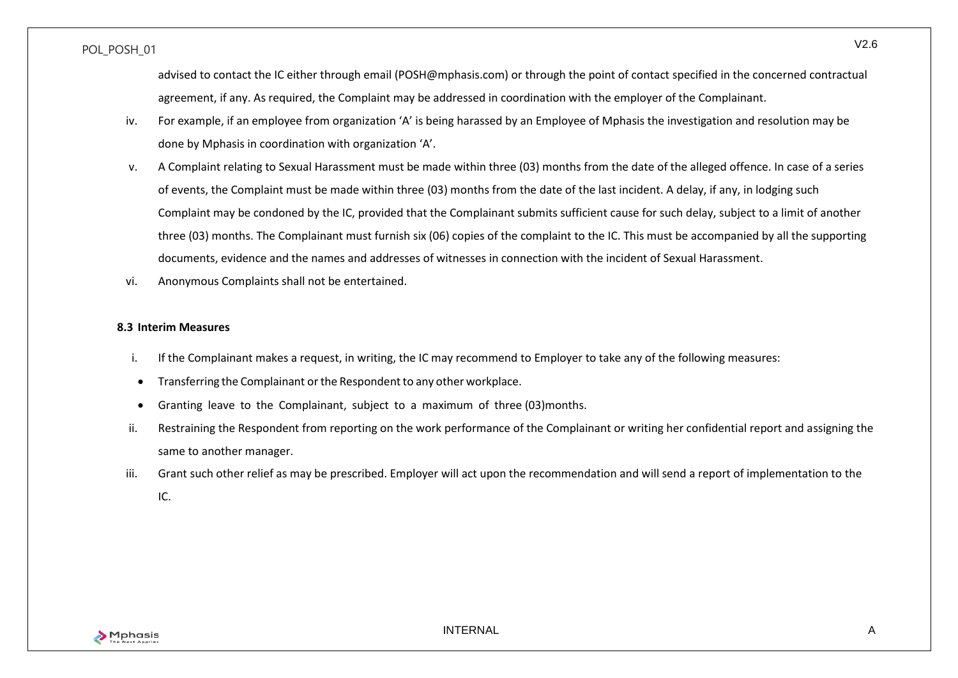advised to contact the IC either through email (POSH@mphasis.com) or through the point of contact specified in the concerned contractual agreement, if any. As required, the Complaint may be addressed in coordination with the employer of the Complainant.

- iv. For example, if an employee from organization 'A' is being harassed by an Employee of Mphasis the investigation and resolution may be done by Mphasis in coordination with organization 'A'.
- v. A Complaint relating to Sexual Harassment must be made within three (03) months from the date of the alleged offence. In case of a series of events, the Complaint must be made within three (03) months from the date of the last incident. A delay, if any, in lodging such Complaint may be condoned by the IC, provided that the Complainant submits sufficient cause for such delay, subject to a limit of another three (03) months. The Complainant must furnish six (06) copies of the complaint to the IC. This must be accompanied by all the supporting documents, evidence and the names and addresses of witnesses in connection with the incident of Sexual Harassment.
- vi. Anonymous Complaints shall not be entertained.

#### <span id="page-13-0"></span>**8.3 Interim Measures**

- i. If the Complainant makes a request, in writing, the IC may recommend to Employer to take any of the following measures:
- Transferring the Complainant or the Respondent to any other workplace.
- Granting leave to the Complainant, subject to a maximum of three (03)months.
- ii. Restraining the Respondent from reporting on the work performance of the Complainant or writing her confidential report and assigning the same to another manager.
- iii. Grant such other relief as may be prescribed. Employer will act upon the recommendation and will send a report of implementation to the IC.

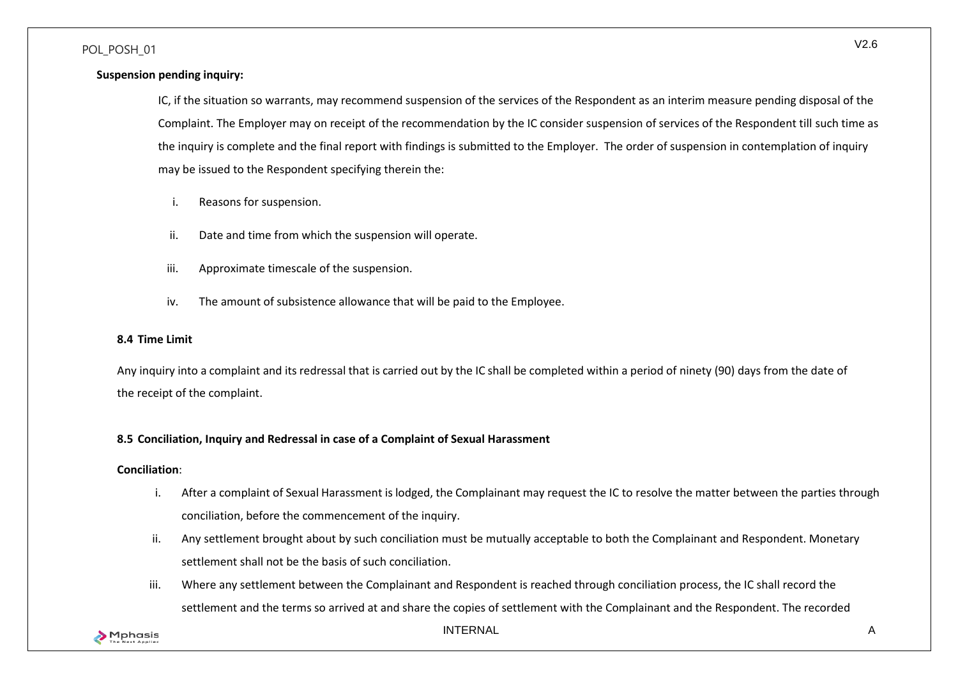### **Suspension pending inquiry:**

IC, if the situation so warrants, may recommend suspension of the services of the Respondent as an interim measure pending disposal of the Complaint. The Employer may on receipt of the recommendation by the IC consider suspension of services of the Respondent till such time as the inquiry is complete and the final report with findings is submitted to the Employer. The order of suspension in contemplation of inquiry may be issued to the Respondent specifying therein the:

- i. Reasons for suspension.
- ii. Date and time from which the suspension will operate.
- iii. Approximate timescale of the suspension.
- iv. The amount of subsistence allowance that will be paid to the Employee.

#### <span id="page-14-0"></span>**8.4 Time Limit**

Any inquiry into a complaint and its redressal that is carried out by the IC shall be completed within a period of ninety (90) days from the date of the receipt of the complaint.

### <span id="page-14-1"></span>**8.5 Conciliation, Inquiry and Redressal in case of a Complaint of Sexual Harassment**

#### **Conciliation**:

- i. After a complaint of Sexual Harassment is lodged, the Complainant may request the IC to resolve the matter between the parties through conciliation, before the commencement of the inquiry.
- ii. Any settlement brought about by such conciliation must be mutually acceptable to both the Complainant and Respondent. Monetary settlement shall not be the basis of such conciliation.
- iii. Where any settlement between the Complainant and Respondent is reached through conciliation process, the IC shall record the settlement and the terms so arrived at and share the copies of settlement with the Complainant and the Respondent. The recorded

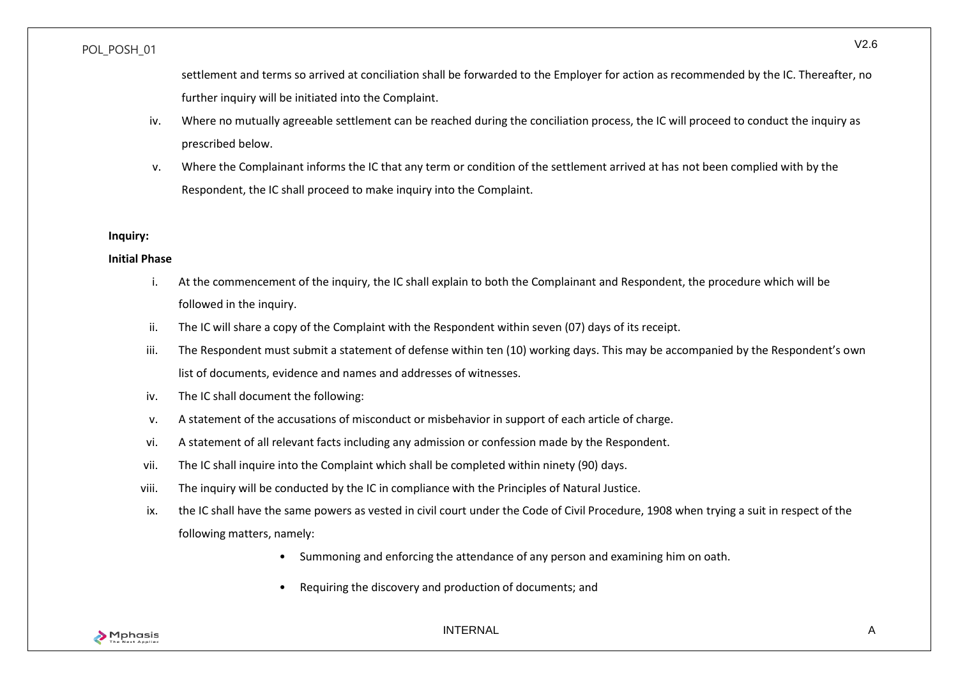settlement and terms so arrived at conciliation shall be forwarded to the Employer for action as recommended by the IC. Thereafter, no further inquiry will be initiated into the Complaint.

- iv. Where no mutually agreeable settlement can be reached during the conciliation process, the IC will proceed to conduct the inquiry as prescribed below.
- v. Where the Complainant informs the IC that any term or condition of the settlement arrived at has not been complied with by the Respondent, the IC shall proceed to make inquiry into the Complaint.

#### **Inquiry:**

#### **Initial Phase**

- i. At the commencement of the inquiry, the IC shall explain to both the Complainant and Respondent, the procedure which will be followed in the inquiry.
- ii. The IC will share a copy of the Complaint with the Respondent within seven (07) days of its receipt.
- iii. The Respondent must submit a statement of defense within ten (10) working days. This may be accompanied by the Respondent's own list of documents, evidence and names and addresses of witnesses.
- iv. The IC shall document the following:
- v. A statement of the accusations of misconduct or misbehavior in support of each article of charge.
- vi. A statement of all relevant facts including any admission or confession made by the Respondent.
- vii. The IC shall inquire into the Complaint which shall be completed within ninety (90) days.
- viii. The inquiry will be conducted by the IC in compliance with the Principles of Natural Justice.
- ix. the IC shall have the same powers as vested in civil court under the Code of Civil Procedure, 1908 when trying a suit in respect of the following matters, namely:
	- Summoning and enforcing the attendance of any person and examining him on oath.
	- Requiring the discovery and production of documents; and

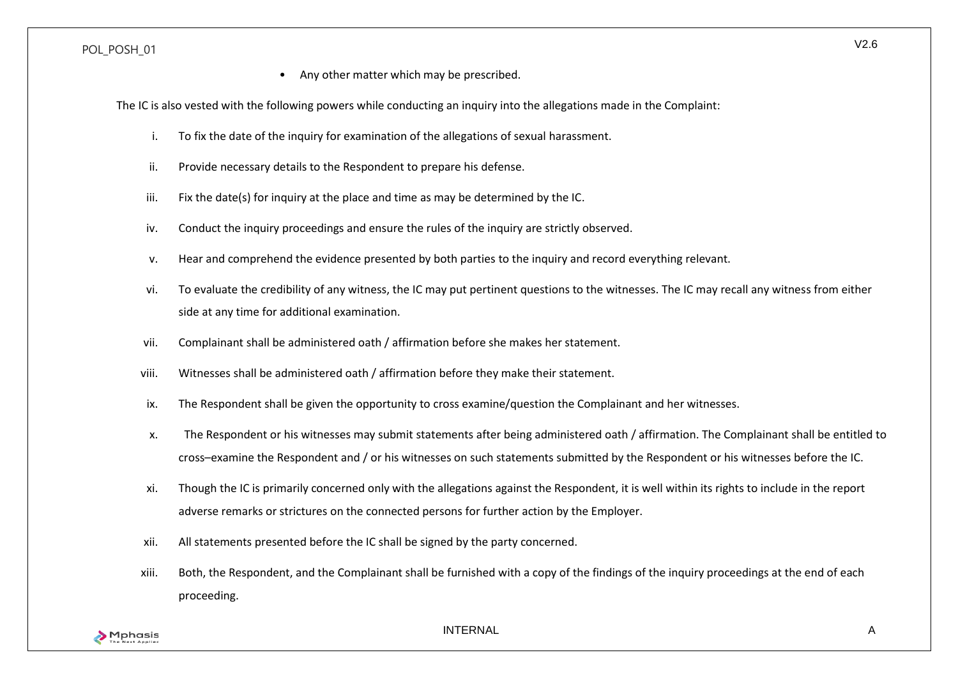Any other matter which may be prescribed.

The IC is also vested with the following powers while conducting an inquiry into the allegations made in the Complaint:

- i. To fix the date of the inquiry for examination of the allegations of sexual harassment.
- ii. Provide necessary details to the Respondent to prepare his defense.
- iii. Fix the date(s) for inquiry at the place and time as may be determined by the IC.
- iv. Conduct the inquiry proceedings and ensure the rules of the inquiry are strictly observed.
- v. Hear and comprehend the evidence presented by both parties to the inquiry and record everything relevant.
- vi. To evaluate the credibility of any witness, the IC may put pertinent questions to the witnesses. The IC may recall any witness from either side at any time for additional examination.
- vii. Complainant shall be administered oath / affirmation before she makes her statement.
- viii. Witnesses shall be administered oath / affirmation before they make their statement.
- ix. The Respondent shall be given the opportunity to cross examine/question the Complainant and her witnesses.
- x. The Respondent or his witnesses may submit statements after being administered oath / affirmation. The Complainant shall be entitled to cross–examine the Respondent and / or his witnesses on such statements submitted by the Respondent or his witnesses before the IC.
- xi. Though the IC is primarily concerned only with the allegations against the Respondent, it is well within its rights to include in the report adverse remarks or strictures on the connected persons for further action by the Employer.
- xii. All statements presented before the IC shall be signed by the party concerned.
- xiii. Both, the Respondent, and the Complainant shall be furnished with a copy of the findings of the inquiry proceedings at the end of each proceeding.

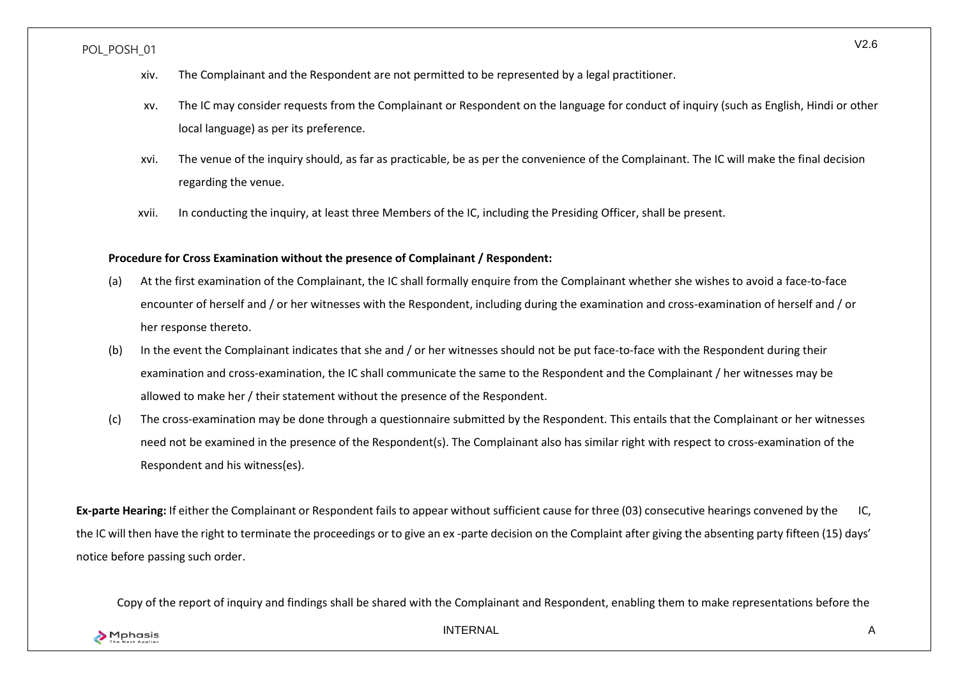- xiv. The Complainant and the Respondent are not permitted to be represented by a legal practitioner.
- xv. The IC may consider requests from the Complainant or Respondent on the language for conduct of inquiry (such as English, Hindi or other local language) as per its preference.
- xvi. The venue of the inquiry should, as far as practicable, be as per the convenience of the Complainant. The IC will make the final decision regarding the venue.
- xvii. In conducting the inquiry, at least three Members of the IC, including the Presiding Officer, shall be present.

#### **Procedure for Cross Examination without the presence of Complainant / Respondent:**

- (a) At the first examination of the Complainant, the IC shall formally enquire from the Complainant whether she wishes to avoid a face-to-face encounter of herself and / or her witnesses with the Respondent, including during the examination and cross-examination of herself and / or her response thereto.
- (b) In the event the Complainant indicates that she and / or her witnesses should not be put face-to-face with the Respondent during their examination and cross-examination, the IC shall communicate the same to the Respondent and the Complainant / her witnesses may be allowed to make her / their statement without the presence of the Respondent.
- (c) The cross-examination may be done through a questionnaire submitted by the Respondent. This entails that the Complainant or her witnesses need not be examined in the presence of the Respondent(s). The Complainant also has similar right with respect to cross-examination of the Respondent and his witness(es).

**Ex-parte Hearing:** If either the Complainant or Respondent fails to appear without sufficient cause for three (03) consecutive hearings convened by the IC, the IC will then have the right to terminate the proceedings or to give an ex -parte decision on the Complaint after giving the absenting party fifteen (15) days' notice before passing such order.

Copy of the report of inquiry and findings shall be shared with the Complainant and Respondent, enabling them to make representations before the



INTERNAL A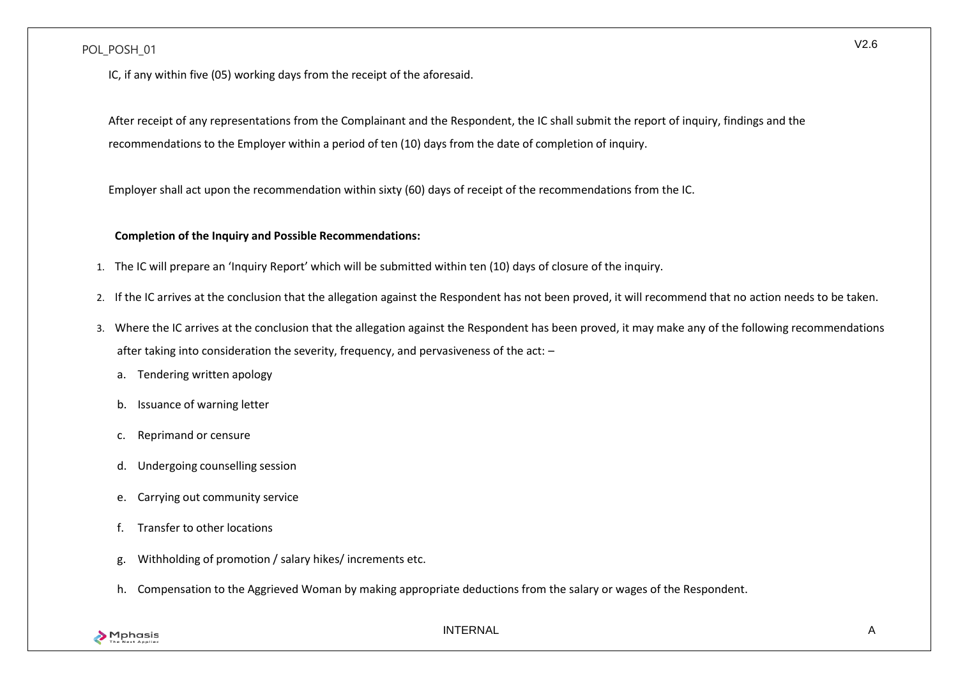IC, if any within five (05) working days from the receipt of the aforesaid.

After receipt of any representations from the Complainant and the Respondent, the IC shall submit the report of inquiry, findings and the recommendations to the Employer within a period of ten (10) days from the date of completion of inquiry.

Employer shall act upon the recommendation within sixty (60) days of receipt of the recommendations from the IC.

### **Completion of the Inquiry and Possible Recommendations:**

- 1. The IC will prepare an 'Inquiry Report' which will be submitted within ten (10) days of closure of the inquiry.
- 2. If the IC arrives at the conclusion that the allegation against the Respondent has not been proved, it will recommend that no action needs to be taken.
- 3. Where the IC arrives at the conclusion that the allegation against the Respondent has been proved, it may make any of the following recommendations after taking into consideration the severity, frequency, and pervasiveness of the act: –
	- a. Tendering written apology
	- b. Issuance of warning letter
	- c. Reprimand or censure
	- d. Undergoing counselling session
	- e. Carrying out community service
	- f. Transfer to other locations
	- g. Withholding of promotion / salary hikes/ increments etc.
	- h. Compensation to the Aggrieved Woman by making appropriate deductions from the salary or wages of the Respondent.

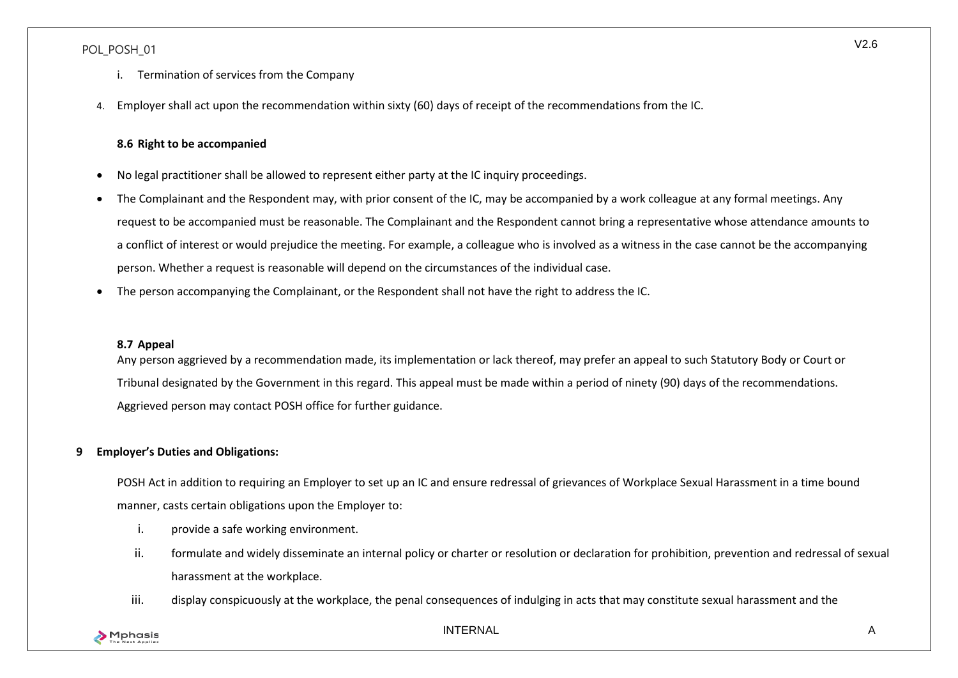- i. Termination of services from the Company
- 4. Employer shall act upon the recommendation within sixty (60) days of receipt of the recommendations from the IC.

### **8.6 Right to be accompanied**

- <span id="page-19-0"></span>• No legal practitioner shall be allowed to represent either party at the IC inquiry proceedings.
- The Complainant and the Respondent may, with prior consent of the IC, may be accompanied by a work colleague at any formal meetings. Any request to be accompanied must be reasonable. The Complainant and the Respondent cannot bring a representative whose attendance amounts to a conflict of interest or would prejudice the meeting. For example, a colleague who is involved as a witness in the case cannot be the accompanying person. Whether a request is reasonable will depend on the circumstances of the individual case.
- The person accompanying the Complainant, or the Respondent shall not have the right to address the IC.

#### <span id="page-19-1"></span>**8.7 Appeal**

Any person aggrieved by a recommendation made, its implementation or lack thereof, may prefer an appeal to such Statutory Body or Court or Tribunal designated by the Government in this regard. This appeal must be made within a period of ninety (90) days of the recommendations. Aggrieved person may contact POSH office for further guidance.

### <span id="page-19-2"></span>**9 Employer's Duties and Obligations:**

POSH Act in addition to requiring an Employer to set up an IC and ensure redressal of grievances of Workplace Sexual Harassment in a time bound manner, casts certain obligations upon the Employer to:

- i. provide a safe working environment.
- ii. formulate and widely disseminate an internal policy or charter or resolution or declaration for prohibition, prevention and redressal of sexual harassment at the workplace.
- iii. display conspicuously at the workplace, the penal consequences of indulging in acts that may constitute sexual harassment and the